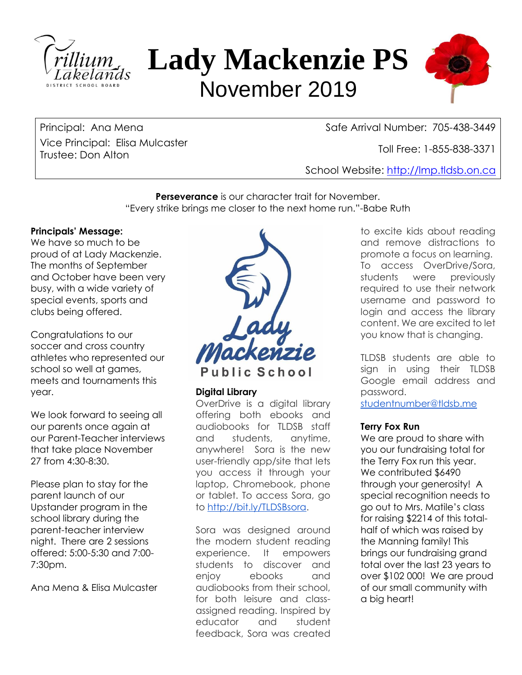

# **Lady Mackenzie PS** November 2019



Vice Principal: Elisa Mulcaster Trustee: Don Alton Thomas Molecusic Physics (1985-838-3371 Molecusia) and Toll Free: 1-855-838-3371 Molecusia<br>Trustee: Don Alton

Principal: Ana Mena<br>Safe Arrival Number: 705-438-3449

School Website: [http://lmp.tldsb.on.ca](http://lmp.tldsb.on.ca/)

**Perseverance** is our character trait for November. "Every strike brings me closer to the next home run."-Babe Ruth

## **Principals' Message:**

We have so much to be proud of at Lady Mackenzie. The months of September and October have been very busy, with a wide variety of special events, sports and clubs being offered.

Congratulations to our soccer and cross country athletes who represented our school so well at games, meets and tournaments this year.

We look forward to seeing all our parents once again at our Parent-Teacher interviews that take place November 27 from 4:30-8:30.

Please plan to stay for the parent launch of our Upstander program in the school library during the parent-teacher interview night. There are 2 sessions offered: 5:00-5:30 and 7:00- 7:30pm.

Ana Mena & Elisa Mulcaster



Public School

## **Digital Library**

OverDrive is a digital library offering both ebooks and audiobooks for TLDSB staff and students, anytime, anywhere! Sora is the new user-friendly app/site that lets you access it through your laptop, Chromebook, phone or tablet. To access Sora, go to [http://bit.ly/TLDSBsora.](http://bit.ly/TLDSBsora)

Sora was designed around the modern student reading experience. It empowers students to discover and enjoy ebooks and audiobooks from their school, for both leisure and classassigned reading. Inspired by educator and student feedback, Sora was created

to excite kids about reading and remove distractions to promote a focus on learning. To access OverDrive/Sora, students were previously required to use their network username and password to login and access the library content. We are excited to let you know that is changing.

TLDSB students are able to sign in using their TLDSB Google email address and password.

[studentnumber@tldsb.me](mailto:studentnumber@tldsb.me)

## **Terry Fox Run**

We are proud to share with you our fundraising total for the Terry Fox run this year. We contributed \$6490 through your generosity! A special recognition needs to go out to Mrs. Matile's class for raising \$2214 of this totalhalf of which was raised by the Manning family! This brings our fundraising grand total over the last 23 years to over \$102 000! We are proud of our small community with a big heart!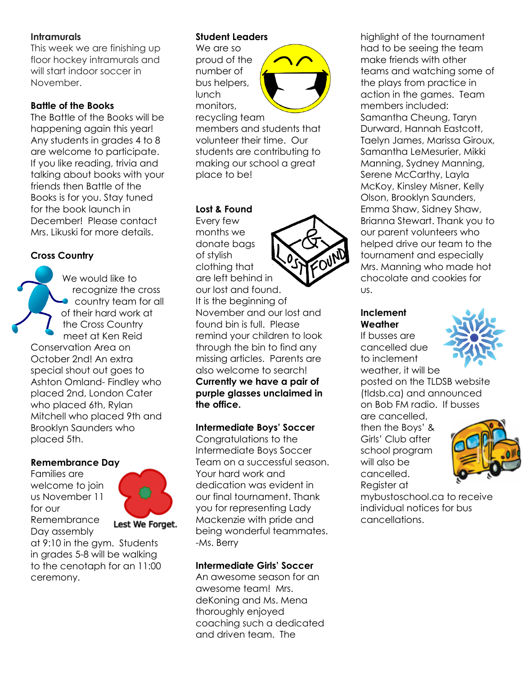## **Intramurals**

This week we are finishing up floor hockey intramurals and will start indoor soccer in November.

## **Battle of the Books**

The Battle of the Books will be happening again this year! Any students in grades 4 to 8 are welcome to participate. If you like reading, trivia and talking about books with your friends then Battle of the Books is for you. Stay tuned for the book launch in December! Please contact Mrs. Likuski for more details.

## **Cross Country**

We would like to recognize the cross country team for all of their hard work at the Cross Country meet at Ken Reid Conservation Area on October 2nd! An extra special shout out goes to Ashton Omland- Findley who placed 2nd, London Cater who placed 6th, Rylan Mitchell who placed 9th and Brooklyn Saunders who placed 5th.

## **Remembrance Day**

Families are welcome to join us November 11 for our Remembrance Day assembly



at 9:10 in the gym. Students in grades 5-8 will be walking to the cenotaph for an 11:00 ceremony.

## **Student Leaders**

We are so proud of the number of bus helpers, lunch monitors, recycling team



members and students that volunteer their time. Our students are contributing to making our school a great place to be!

#### **Lost & Found**

Every few months we donate bags of stylish clothing that are left behind in our lost and found. It is the beginning of November and our lost and found bin is full. Please remind your children to look through the bin to find any missing articles. Parents are also welcome to search! **Currently we have a pair of purple glasses unclaimed in the office.**

## **Intermediate Boys' Soccer**

Congratulations to the Intermediate Boys Soccer Team on a successful season. Your hard work and dedication was evident in our final tournament. Thank you for representing Lady Mackenzie with pride and being wonderful teammates. -Ms. Berry

## **Intermediate Girls' Soccer**

An awesome season for an awesome team! Mrs. deKoning and Ms. Mena thoroughly enjoyed coaching such a dedicated and driven team. The

highlight of the tournament had to be seeing the team make friends with other teams and watching some of the plays from practice in action in the games. Team members included: Samantha Cheung, Taryn Durward, Hannah Eastcott, Taelyn James, Marissa Giroux, Samantha LeMesurier, Mikki Manning, Sydney Manning, Serene McCarthy, Layla McKoy, Kinsley Misner, Kelly Olson, Brooklyn Saunders, Emma Shaw, Sidney Shaw, Brianna Stewart. Thank you to our parent volunteers who helped drive our team to the tournament and especially Mrs. Manning who made hot chocolate and cookies for us.

## **Inclement Weather**

If busses are cancelled due to inclement weather, it will be



posted on the TLDSB website (tldsb.ca) and announced on Bob FM radio. If busses are cancelled,

then the Boys' & Girls' Club after school program will also be cancelled. Register at



mybustoschool.ca to receive individual notices for bus cancellations.